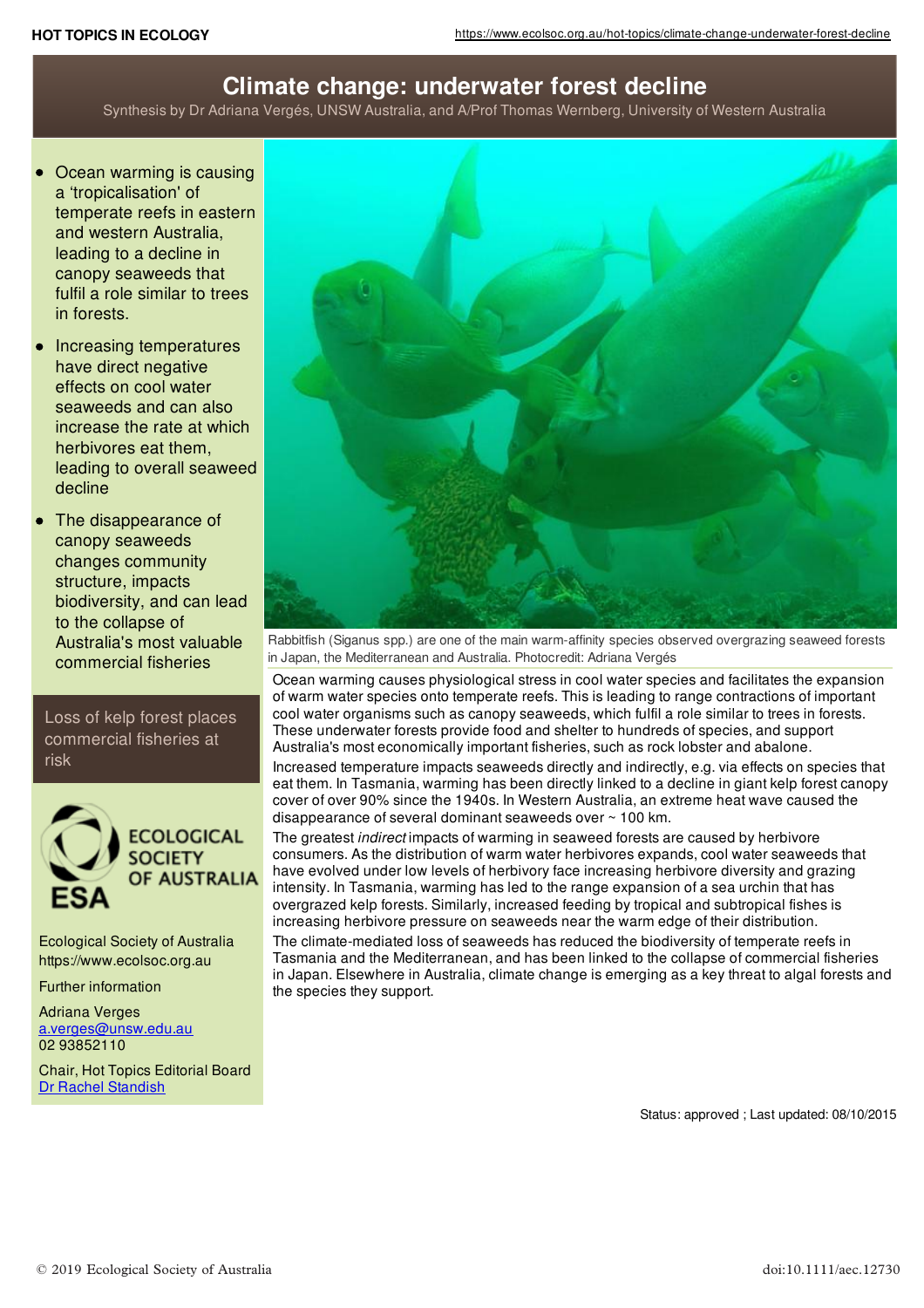## **Climate change: underwater forest decline**

Synthesis by Dr Adriana Vergés, UNSW Australia, and A/Prof Thomas Wernberg, University of Western Australia

- Ocean warming is causing a 'tropicalisation' of temperate reefs in eastern and western Australia, leading to a decline in canopy seaweeds that fulfil a role similar to trees in forests.
- Increasing temperatures have direct negative effects on cool water seaweeds and can also increase the rate at which herbivores eat them, leading to overall seaweed decline
- The disappearance of canopy seaweeds changes community structure, impacts biodiversity, and can lead to the collapse of Australia's most valuable commercial fisheries

Loss of kelp forest places commercial fisheries at risk



Ecological Society of Australia https://www.ecolsoc.org.au

Further information

Adriana Verges [a.verges@unsw.edu.au](mailto:a.verges@unsw.edu.au) 02 93852110

Chair, Hot Topics Editorial Board Dr Rachel [Standish](mailto:R.Standish@murdoch.edu.au)



Rabbitfish (Siganus spp.) are one of the main warm-affinity species observed overgrazing seaweed forests in Japan, the Mediterranean and Australia. Photocredit: Adriana Vergés

Ocean warming causes physiological stress in cool water species and facilitates the expansion of warm water species onto temperate reefs. This is leading to range contractions of important cool water organisms such as canopy seaweeds, which fulfil a role similar to trees in forests. These underwater forests provide food and shelter to hundreds of species, and support Australia's most economically important fisheries, such as rock lobster and abalone.

Increased temperature impacts seaweeds directly and indirectly, e.g. via effects on species that eat them. In Tasmania, warming has been directly linked to a decline in giant kelp forest canopy cover of over 90% since the 1940s. In Western Australia, an extreme heat wave caused the disappearance of several dominant seaweeds over ~ 100 km.

The greatest *indirect* impacts of warming in seaweed forests are caused by herbivore consumers. As the distribution of warm water herbivores expands, cool water seaweeds that have evolved under low levels of herbivory face increasing herbivore diversity and grazing intensity. In Tasmania, warming has led to the range expansion of a sea urchin that has overgrazed kelp forests. Similarly, increased feeding by tropical and subtropical fishes is increasing herbivore pressure on seaweeds near the warm edge of their distribution.

The climate-mediated loss of seaweeds has reduced the biodiversity of temperate reefs in Tasmania and the Mediterranean, and has been linked to the collapse of commercial fisheries in Japan. Elsewhere in Australia, climate change is emerging as a key threat to algal forests and the species they support.

Status: approved ; Last updated: 08/10/2015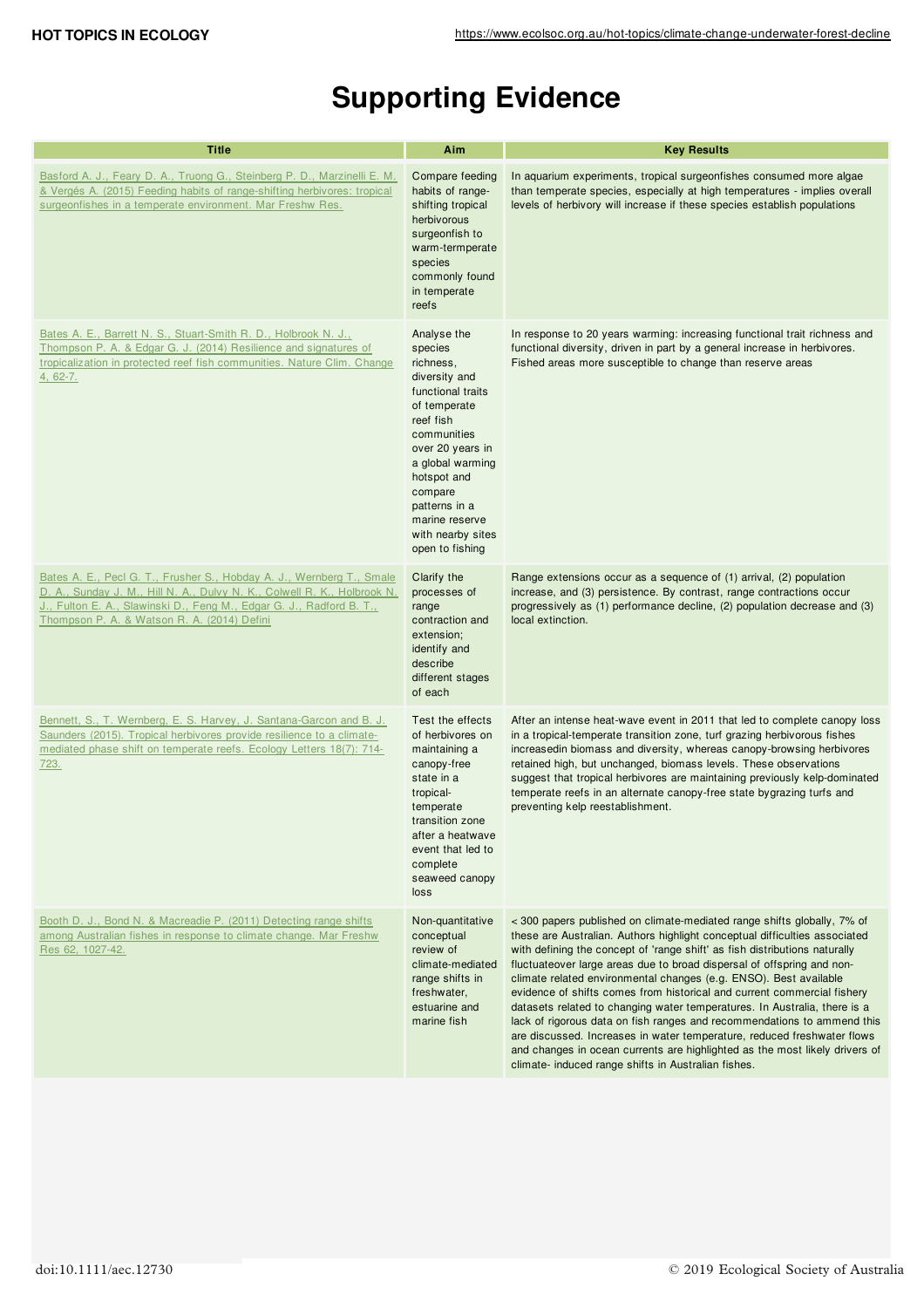# **Supporting Evidence**

| <b>Title</b>                                                                                                                                                                                                                                                             | Aim                                                                                                                                                                                                                                                                | <b>Key Results</b>                                                                                                                                                                                                                                                                                                                                                                                                                                                                                                                                                                                                                                                                                                                                                                                                                     |
|--------------------------------------------------------------------------------------------------------------------------------------------------------------------------------------------------------------------------------------------------------------------------|--------------------------------------------------------------------------------------------------------------------------------------------------------------------------------------------------------------------------------------------------------------------|----------------------------------------------------------------------------------------------------------------------------------------------------------------------------------------------------------------------------------------------------------------------------------------------------------------------------------------------------------------------------------------------------------------------------------------------------------------------------------------------------------------------------------------------------------------------------------------------------------------------------------------------------------------------------------------------------------------------------------------------------------------------------------------------------------------------------------------|
| Basford A. J., Feary D. A., Truong G., Steinberg P. D., Marzinelli E. M.<br>& Vergés A. (2015) Feeding habits of range-shifting herbivores: tropical<br>surgeonfishes in a temperate environment. Mar Freshw Res.                                                        | Compare feeding<br>habits of range-<br>shifting tropical<br>herbivorous<br>surgeonfish to<br>warm-termperate<br>species<br>commonly found<br>in temperate<br>reefs                                                                                                 | In aquarium experiments, tropical surgeonfishes consumed more algae<br>than temperate species, especially at high temperatures - implies overall<br>levels of herbivory will increase if these species establish populations                                                                                                                                                                                                                                                                                                                                                                                                                                                                                                                                                                                                           |
| Bates A. E., Barrett N. S., Stuart-Smith R. D., Holbrook N. J.,<br>Thompson P. A. & Edgar G. J. (2014) Resilience and signatures of<br>tropicalization in protected reef fish communities. Nature Clim. Change<br>4, 62-7.                                               | Analyse the<br>species<br>richness,<br>diversity and<br>functional traits<br>of temperate<br>reef fish<br>communities<br>over 20 years in<br>a global warming<br>hotspot and<br>compare<br>patterns in a<br>marine reserve<br>with nearby sites<br>open to fishing | In response to 20 years warming: increasing functional trait richness and<br>functional diversity, driven in part by a general increase in herbivores.<br>Fished areas more susceptible to change than reserve areas                                                                                                                                                                                                                                                                                                                                                                                                                                                                                                                                                                                                                   |
| Bates A. E., Pecl G. T., Frusher S., Hobday A. J., Wernberg T., Smale<br>D. A., Sunday J. M., Hill N. A., Dulvy N. K., Colwell R. K., Holbrook N.<br>J., Fulton E. A., Slawinski D., Feng M., Edgar G. J., Radford B. T.,<br>Thompson P. A. & Watson R. A. (2014) Defini | Clarify the<br>processes of<br>range<br>contraction and<br>extension;<br>identify and<br>describe<br>different stages<br>of each                                                                                                                                   | Range extensions occur as a sequence of (1) arrival, (2) population<br>increase, and (3) persistence. By contrast, range contractions occur<br>progressively as (1) performance decline, (2) population decrease and (3)<br>local extinction.                                                                                                                                                                                                                                                                                                                                                                                                                                                                                                                                                                                          |
| Bennett, S., T. Wernberg, E. S. Harvey, J. Santana-Garcon and B. J.<br>Saunders (2015). Tropical herbivores provide resilience to a climate-<br>mediated phase shift on temperate reefs. Ecology Letters 18(7): 714-<br><u>723.</u>                                      | Test the effects<br>of herbivores on<br>maintaining a<br>canopy-free<br>state in a<br>tropical-<br>temperate<br>transition zone<br>after a heatwave<br>event that led to<br>complete<br>seaweed canopy<br>loss                                                     | After an intense heat-wave event in 2011 that led to complete canopy loss<br>in a tropical-temperate transition zone, turf grazing herbivorous fishes<br>increasedin biomass and diversity, whereas canopy-browsing herbivores<br>retained high, but unchanged, biomass levels. These observations<br>suggest that tropical herbivores are maintaining previously kelp-dominated<br>temperate reefs in an alternate canopy-free state bygrazing turfs and<br>preventing kelp reestablishment.                                                                                                                                                                                                                                                                                                                                          |
| Booth D. J., Bond N. & Macreadie P. (2011) Detecting range shifts<br>among Australian fishes in response to climate change. Mar Freshw<br>Res 62, 1027-42.                                                                                                               | Non-quantitative<br>conceptual<br>review of<br>climate-mediated<br>range shifts in<br>freshwater,<br>estuarine and<br>marine fish                                                                                                                                  | < 300 papers published on climate-mediated range shifts globally, 7% of<br>these are Australian. Authors highlight conceptual difficulties associated<br>with defining the concept of 'range shift' as fish distributions naturally<br>fluctuateover large areas due to broad dispersal of offspring and non-<br>climate related environmental changes (e.g. ENSO). Best available<br>evidence of shifts comes from historical and current commercial fishery<br>datasets related to changing water temperatures. In Australia, there is a<br>lack of rigorous data on fish ranges and recommendations to ammend this<br>are discussed. Increases in water temperature, reduced freshwater flows<br>and changes in ocean currents are highlighted as the most likely drivers of<br>climate- induced range shifts in Australian fishes. |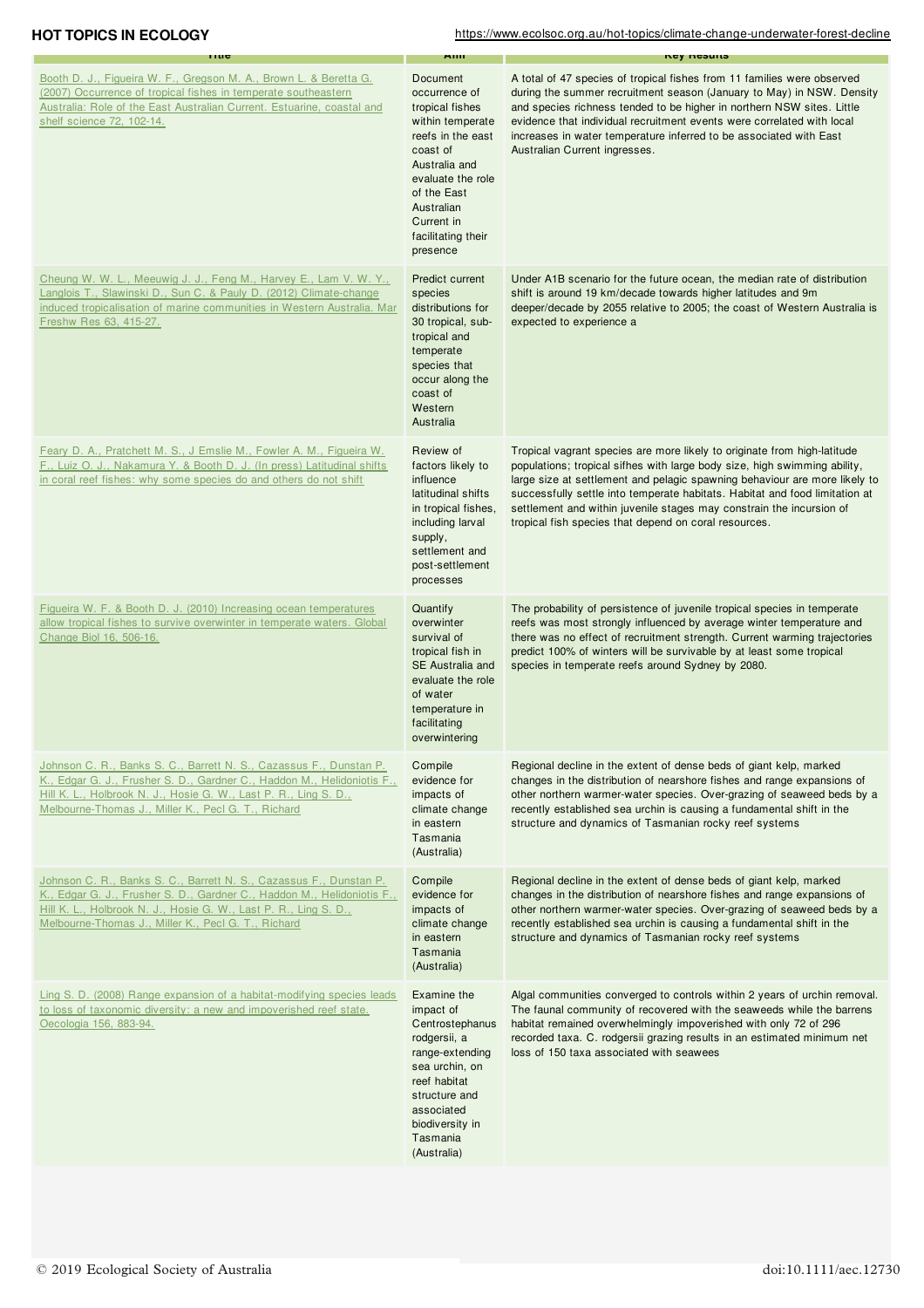| <b>HOT TOPICS IN ECOLOGY</b>                                                                                                                                                                                                                                             |                                                                                                                                                                                                                      | https://www.ecolsoc.org.au/hot-topics/climate-change-underwater-forest-decline                                                                                                                                                                                                                                                                                                                                                                      |
|--------------------------------------------------------------------------------------------------------------------------------------------------------------------------------------------------------------------------------------------------------------------------|----------------------------------------------------------------------------------------------------------------------------------------------------------------------------------------------------------------------|-----------------------------------------------------------------------------------------------------------------------------------------------------------------------------------------------------------------------------------------------------------------------------------------------------------------------------------------------------------------------------------------------------------------------------------------------------|
| nuc                                                                                                                                                                                                                                                                      | мш                                                                                                                                                                                                                   | пеу пезинэ                                                                                                                                                                                                                                                                                                                                                                                                                                          |
| Booth D. J., Figueira W. F., Gregson M. A., Brown L. & Beretta G.<br>(2007) Occurrence of tropical fishes in temperate southeastern<br>Australia: Role of the East Australian Current. Estuarine, coastal and<br>shelf science 72, 102-14.                               | Document<br>occurrence of<br>tropical fishes<br>within temperate<br>reefs in the east<br>coast of<br>Australia and<br>evaluate the role<br>of the East<br>Australian<br>Current in<br>facilitating their<br>presence | A total of 47 species of tropical fishes from 11 families were observed<br>during the summer recruitment season (January to May) in NSW. Density<br>and species richness tended to be higher in northern NSW sites. Little<br>evidence that individual recruitment events were correlated with local<br>increases in water temperature inferred to be associated with East<br>Australian Current ingresses.                                         |
| Cheung W. W. L., Meeuwig J. J., Feng M., Harvey E., Lam V. W. Y.,<br>Langlois T., Slawinski D., Sun C. & Pauly D. (2012) Climate-change<br>induced tropicalisation of marine communities in Western Australia. Mar<br>Freshw Res 63, 415-27.                             | Predict current<br>species<br>distributions for<br>30 tropical, sub-<br>tropical and<br>temperate<br>species that<br>occur along the<br>coast of<br>Western<br>Australia                                             | Under A1B scenario for the future ocean, the median rate of distribution<br>shift is around 19 km/decade towards higher latitudes and 9m<br>deeper/decade by 2055 relative to 2005; the coast of Western Australia is<br>expected to experience a                                                                                                                                                                                                   |
| Feary D. A., Pratchett M. S., J Emslie M., Fowler A. M., Figueira W.<br>F., Luiz O. J., Nakamura Y. & Booth D. J. (In press) Latitudinal shifts<br>in coral reef fishes: why some species do and others do not shift                                                     | Review of<br>factors likely to<br>influence<br>latitudinal shifts<br>in tropical fishes,<br>including larval<br>supply,<br>settlement and<br>post-settlement<br>processes                                            | Tropical vagrant species are more likely to originate from high-latitude<br>populations; tropical sifhes with large body size, high swimming ability,<br>large size at settlement and pelagic spawning behaviour are more likely to<br>successfully settle into temperate habitats. Habitat and food limitation at<br>settlement and within juvenile stages may constrain the incursion of<br>tropical fish species that depend on coral resources. |
| Figueira W. F. & Booth D. J. (2010) Increasing ocean temperatures<br>allow tropical fishes to survive overwinter in temperate waters. Global<br>Change Biol 16, 506-16.                                                                                                  | Quantify<br>overwinter<br>survival of<br>tropical fish in<br>SE Australia and<br>evaluate the role<br>of water<br>temperature in<br>facilitating<br>overwintering                                                    | The probability of persistence of juvenile tropical species in temperate<br>reefs was most strongly influenced by average winter temperature and<br>there was no effect of recruitment strength. Current warming trajectories<br>predict 100% of winters will be survivable by at least some tropical<br>species in temperate reefs around Sydney by 2080.                                                                                          |
| Johnson C. R., Banks S. C., Barrett N. S., Cazassus F., Dunstan P.<br>K., Edgar G. J., Frusher S. D., Gardner C., Haddon M., Helidoniotis F.,<br>Hill K. L., Holbrook N. J., Hosie G. W., Last P. R., Ling S. D.,<br>Melbourne-Thomas J., Miller K., Pecl G. T., Richard | Compile<br>evidence for<br>impacts of<br>climate change<br>in eastern<br>Tasmania<br>(Australia)                                                                                                                     | Regional decline in the extent of dense beds of giant kelp, marked<br>changes in the distribution of nearshore fishes and range expansions of<br>other northern warmer-water species. Over-grazing of seaweed beds by a<br>recently established sea urchin is causing a fundamental shift in the<br>structure and dynamics of Tasmanian rocky reef systems                                                                                          |
| Johnson C. R., Banks S. C., Barrett N. S., Cazassus F., Dunstan P.<br>K., Edgar G. J., Frusher S. D., Gardner C., Haddon M., Helidoniotis F.,<br>Hill K. L., Holbrook N. J., Hosie G. W., Last P. R., Ling S. D.,<br>Melbourne-Thomas J., Miller K., Pecl G. T., Richard | Compile<br>evidence for<br>impacts of<br>climate change<br>in eastern<br>Tasmania<br>(Australia)                                                                                                                     | Regional decline in the extent of dense beds of giant kelp, marked<br>changes in the distribution of nearshore fishes and range expansions of<br>other northern warmer-water species. Over-grazing of seaweed beds by a<br>recently established sea urchin is causing a fundamental shift in the<br>structure and dynamics of Tasmanian rocky reef systems                                                                                          |
| Ling S. D. (2008) Range expansion of a habitat-modifying species leads<br>to loss of taxonomic diversity: a new and impoverished reef state.<br>Oecologia 156, 883-94.                                                                                                   | Examine the<br>impact of<br>Centrostephanus<br>rodgersii, a<br>range-extending<br>sea urchin, on<br>reef habitat<br>structure and<br>associated<br>biodiversity in<br>Tasmania                                       | Algal communities converged to controls within 2 years of urchin removal.<br>The faunal community of recovered with the seaweeds while the barrens<br>habitat remained overwhelmingly impoverished with only 72 of 296<br>recorded taxa. C. rodgersii grazing results in an estimated minimum net<br>loss of 150 taxa associated with seawees                                                                                                       |

(Australia)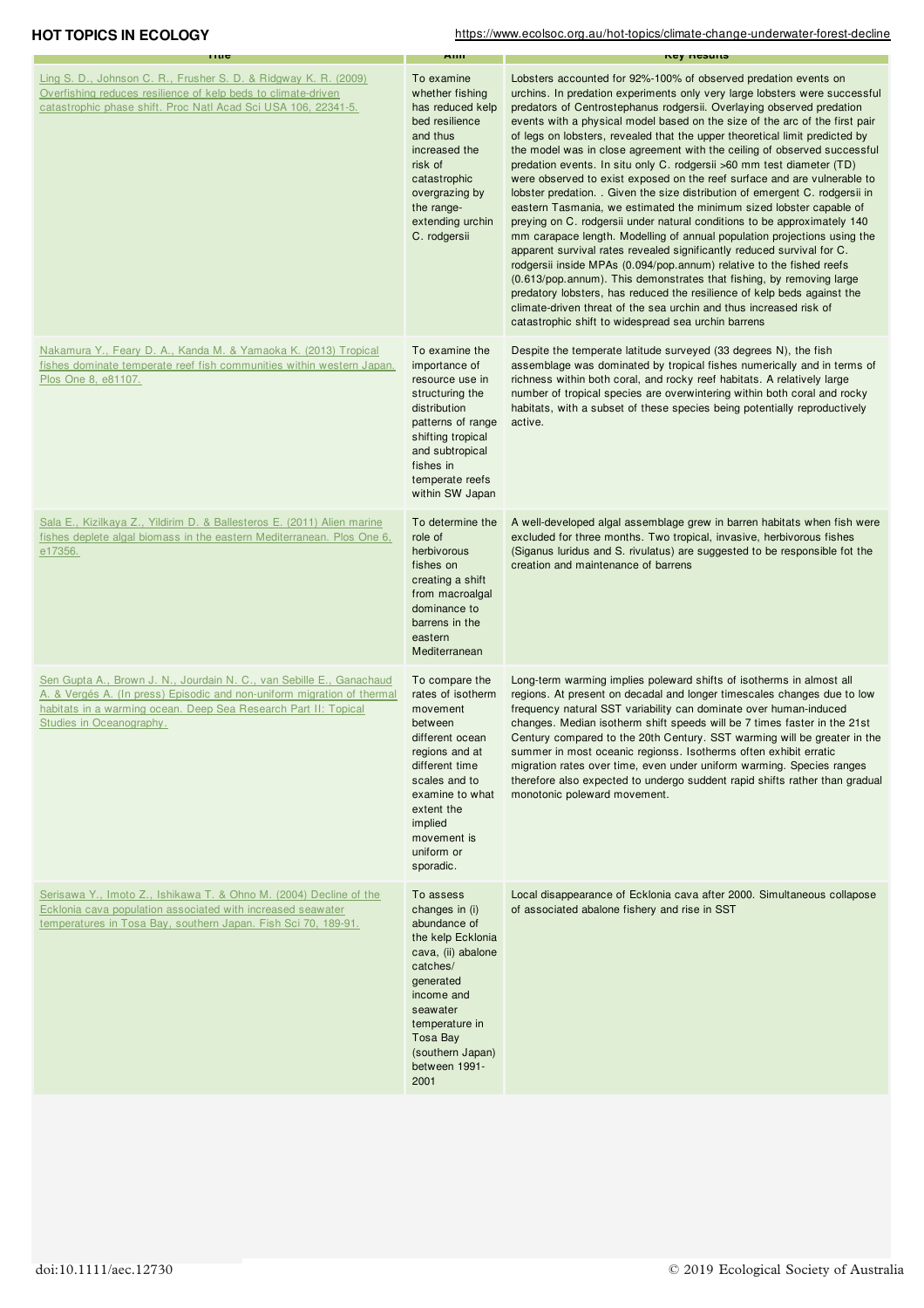### **HOT TOPICS IN ECOLOGY** https://www.ecolsoc.org.au/hot-topics/climate-change-underwater-forest-decline

| muc                                                                                                                                                                                                                                            | мш                                                                                                                                                                                                                       | ney nesuns                                                                                                                                                                                                                                                                                                                                                                                                                                                                                                                                                                                                                                                                                                                                                                                                                                                                                                                                                                                                                                                                                                                                                                                                                                                                                                                                                           |
|------------------------------------------------------------------------------------------------------------------------------------------------------------------------------------------------------------------------------------------------|--------------------------------------------------------------------------------------------------------------------------------------------------------------------------------------------------------------------------|----------------------------------------------------------------------------------------------------------------------------------------------------------------------------------------------------------------------------------------------------------------------------------------------------------------------------------------------------------------------------------------------------------------------------------------------------------------------------------------------------------------------------------------------------------------------------------------------------------------------------------------------------------------------------------------------------------------------------------------------------------------------------------------------------------------------------------------------------------------------------------------------------------------------------------------------------------------------------------------------------------------------------------------------------------------------------------------------------------------------------------------------------------------------------------------------------------------------------------------------------------------------------------------------------------------------------------------------------------------------|
| Ling S. D., Johnson C. R., Frusher S. D. & Ridgway K. R. (2009)<br>Overfishing reduces resilience of kelp beds to climate-driven<br>catastrophic phase shift. Proc Natl Acad Sci USA 106, 22341-5.                                             | To examine<br>whether fishing<br>has reduced kelp<br>bed resilience<br>and thus<br>increased the<br>risk of<br>catastrophic<br>overgrazing by<br>the range-<br>extending urchin<br>C. rodgersii                          | Lobsters accounted for 92%-100% of observed predation events on<br>urchins. In predation experiments only very large lobsters were successful<br>predators of Centrostephanus rodgersii. Overlaying observed predation<br>events with a physical model based on the size of the arc of the first pair<br>of legs on lobsters, revealed that the upper theoretical limit predicted by<br>the model was in close agreement with the ceiling of observed successful<br>predation events. In situ only C. rodgersii >60 mm test diameter (TD)<br>were observed to exist exposed on the reef surface and are vulnerable to<br>lobster predation. Given the size distribution of emergent C. rodgersii in<br>eastern Tasmania, we estimated the minimum sized lobster capable of<br>preying on C. rodgersii under natural conditions to be approximately 140<br>mm carapace length. Modelling of annual population projections using the<br>apparent survival rates revealed significantly reduced survival for C.<br>rodgersii inside MPAs (0.094/pop.annum) relative to the fished reefs<br>(0.613/pop.annum). This demonstrates that fishing, by removing large<br>predatory lobsters, has reduced the resilience of kelp beds against the<br>climate-driven threat of the sea urchin and thus increased risk of<br>catastrophic shift to widespread sea urchin barrens |
| Nakamura Y., Feary D. A., Kanda M. & Yamaoka K. (2013) Tropical<br>fishes dominate temperate reef fish communities within western Japan.<br>Plos One 8, e81107.                                                                                | To examine the<br>importance of<br>resource use in<br>structuring the<br>distribution<br>patterns of range<br>shifting tropical<br>and subtropical<br>fishes in<br>temperate reefs<br>within SW Japan                    | Despite the temperate latitude surveyed (33 degrees N), the fish<br>assemblage was dominated by tropical fishes numerically and in terms of<br>richness within both coral, and rocky reef habitats. A relatively large<br>number of tropical species are overwintering within both coral and rocky<br>habitats, with a subset of these species being potentially reproductively<br>active.                                                                                                                                                                                                                                                                                                                                                                                                                                                                                                                                                                                                                                                                                                                                                                                                                                                                                                                                                                           |
| Sala E., Kizilkaya Z., Yildirim D. & Ballesteros E. (2011) Alien marine<br>fishes deplete algal biomass in the eastern Mediterranean. Plos One 6,<br>e17356.                                                                                   | To determine the<br>role of<br>herbivorous<br>fishes on<br>creating a shift<br>from macroalgal<br>dominance to<br>barrens in the<br>eastern<br>Mediterranean                                                             | A well-developed algal assemblage grew in barren habitats when fish were<br>excluded for three months. Two tropical, invasive, herbivorous fishes<br>(Siganus luridus and S. rivulatus) are suggested to be responsible fot the<br>creation and maintenance of barrens                                                                                                                                                                                                                                                                                                                                                                                                                                                                                                                                                                                                                                                                                                                                                                                                                                                                                                                                                                                                                                                                                               |
| Sen Gupta A., Brown J. N., Jourdain N. C., van Sebille E., Ganachaud<br>A. & Vergés A. (In press) Episodic and non-uniform migration of thermal<br>habitats in a warming ocean. Deep Sea Research Part II: Topical<br>Studies in Oceanography. | To compare the<br>rates of isotherm<br>movement<br>between<br>different ocean<br>regions and at<br>different time<br>scales and to<br>examine to what<br>extent the<br>implied<br>movement is<br>uniform or<br>sporadic. | Long-term warming implies poleward shifts of isotherms in almost all<br>regions. At present on decadal and longer timescales changes due to low<br>frequency natural SST variability can dominate over human-induced<br>changes. Median isotherm shift speeds will be 7 times faster in the 21st<br>Century compared to the 20th Century. SST warming will be greater in the<br>summer in most oceanic regionss. Isotherms often exhibit erratic<br>migration rates over time, even under uniform warming. Species ranges<br>therefore also expected to undergo suddent rapid shifts rather than gradual<br>monotonic poleward movement.                                                                                                                                                                                                                                                                                                                                                                                                                                                                                                                                                                                                                                                                                                                             |
| Serisawa Y., Imoto Z., Ishikawa T. & Ohno M. (2004) Decline of the<br>Ecklonia cava population associated with increased seawater<br>temperatures in Tosa Bay, southern Japan. Fish Sci 70, 189-91.                                            | To assess<br>changes in (i)<br>abundance of<br>the kelp Ecklonia<br>cava, (ii) abalone<br>catches/<br>generated<br>income and<br>seawater<br>temperature in<br>Tosa Bay<br>(southern Japan)<br>between 1991-<br>2001     | Local disappearance of Ecklonia cava after 2000. Simultaneous collapose<br>of associated abalone fishery and rise in SST                                                                                                                                                                                                                                                                                                                                                                                                                                                                                                                                                                                                                                                                                                                                                                                                                                                                                                                                                                                                                                                                                                                                                                                                                                             |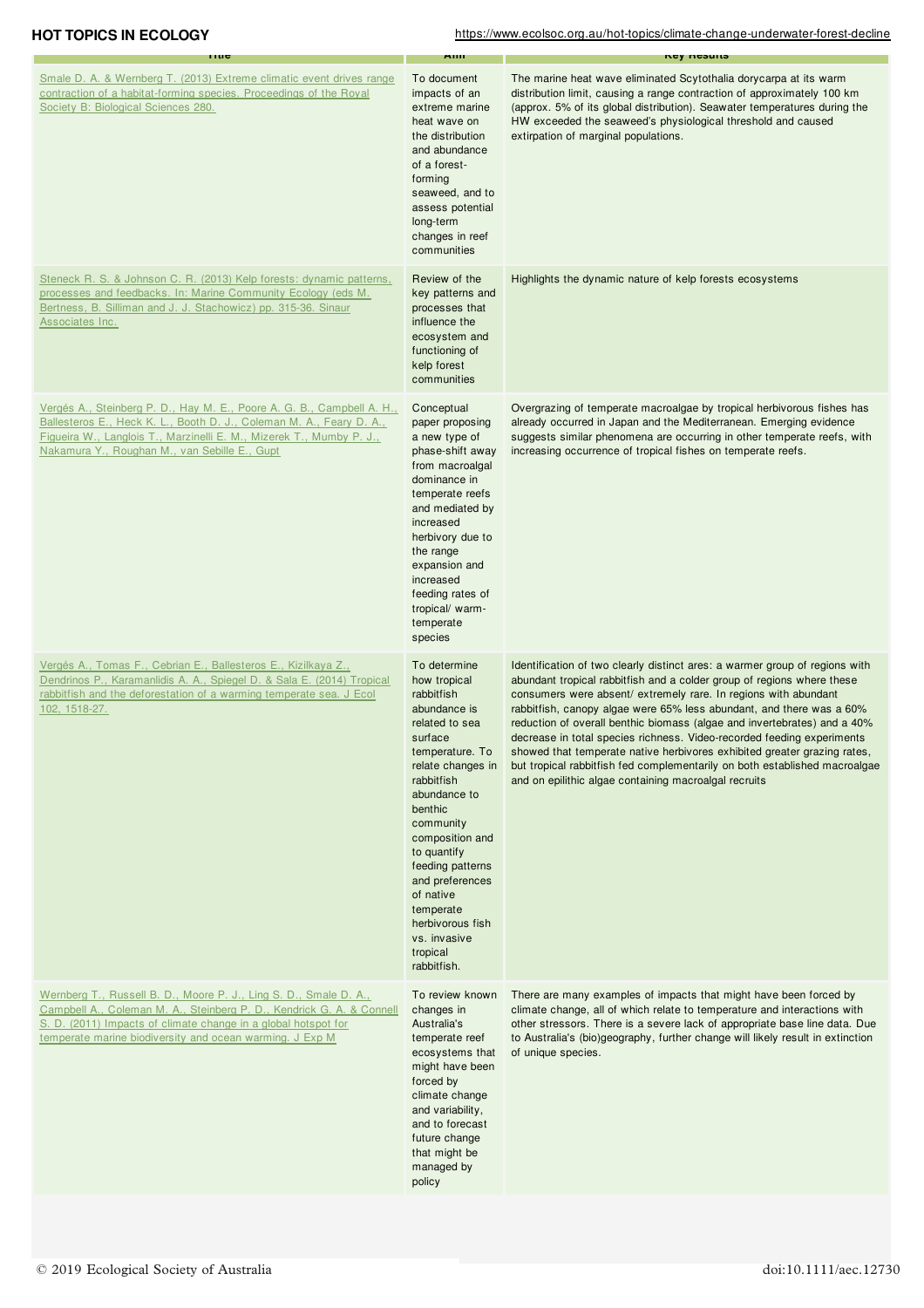**HOT TOPICS IN ECOLOGY** https://www.ecolsoc.org.au/hot-topics/climate-change-underwater-forest-decline

| muc                                                                                                                                                                                                                                                                      | мш                                                                                                                                                                                                                                                                                                                                                      | ney nesuns                                                                                                                                                                                                                                                                                                                                                                                                                                                                                                                                                                                                                                                                |
|--------------------------------------------------------------------------------------------------------------------------------------------------------------------------------------------------------------------------------------------------------------------------|---------------------------------------------------------------------------------------------------------------------------------------------------------------------------------------------------------------------------------------------------------------------------------------------------------------------------------------------------------|---------------------------------------------------------------------------------------------------------------------------------------------------------------------------------------------------------------------------------------------------------------------------------------------------------------------------------------------------------------------------------------------------------------------------------------------------------------------------------------------------------------------------------------------------------------------------------------------------------------------------------------------------------------------------|
| Smale D. A. & Wernberg T. (2013) Extreme climatic event drives range<br>contraction of a habitat-forming species. Proceedings of the Royal<br>Society B: Biological Sciences 280.                                                                                        | To document<br>impacts of an<br>extreme marine<br>heat wave on<br>the distribution<br>and abundance<br>of a forest-<br>forming<br>seaweed, and to<br>assess potential<br>long-term<br>changes in reef<br>communities                                                                                                                                    | The marine heat wave eliminated Scytothalia dorycarpa at its warm<br>distribution limit, causing a range contraction of approximately 100 km<br>(approx. 5% of its global distribution). Seawater temperatures during the<br>HW exceeded the seaweed's physiological threshold and caused<br>extirpation of marginal populations.                                                                                                                                                                                                                                                                                                                                         |
| Steneck R. S. & Johnson C. R. (2013) Kelp forests: dynamic patterns,<br>processes and feedbacks. In: Marine Community Ecology (eds M.<br>Bertness, B. Silliman and J. J. Stachowicz) pp. 315-36. Sinaur<br>Associates Inc.                                               | Review of the<br>key patterns and<br>processes that<br>influence the<br>ecosystem and<br>functioning of<br>kelp forest<br>communities                                                                                                                                                                                                                   | Highlights the dynamic nature of kelp forests ecosystems                                                                                                                                                                                                                                                                                                                                                                                                                                                                                                                                                                                                                  |
| Vergés A., Steinberg P. D., Hay M. E., Poore A. G. B., Campbell A. H.,<br>Ballesteros E., Heck K. L., Booth D. J., Coleman M. A., Feary D. A.,<br>Figueira W., Langlois T., Marzinelli E. M., Mizerek T., Mumby P. J.,<br>Nakamura Y., Roughan M., van Sebille E., Gupt  | Conceptual<br>paper proposing<br>a new type of<br>phase-shift away<br>from macroalgal<br>dominance in<br>temperate reefs<br>and mediated by<br>increased<br>herbivory due to<br>the range<br>expansion and<br>increased<br>feeding rates of<br>tropical/ warm-<br>temperate<br>species                                                                  | Overgrazing of temperate macroalgae by tropical herbivorous fishes has<br>already occurred in Japan and the Mediterranean. Emerging evidence<br>suggests similar phenomena are occurring in other temperate reefs, with<br>increasing occurrence of tropical fishes on temperate reefs.                                                                                                                                                                                                                                                                                                                                                                                   |
| Vergés A., Tomas F., Cebrian E., Ballesteros E., Kizilkaya Z.,<br>Dendrinos P., Karamanlidis A. A., Spiegel D. & Sala E. (2014) Tropical<br>rabbitfish and the deforestation of a warming temperate sea. J Ecol<br>102, 1518-27.                                         | To determine<br>how tropical<br>rabbitfish<br>abundance is<br>related to sea<br>surface<br>temperature. To<br>relate changes in<br>rabbitfish<br>abundance to<br>benthic<br>community<br>composition and<br>to quantify<br>feeding patterns<br>and preferences<br>of native<br>temperate<br>herbivorous fish<br>vs. invasive<br>tropical<br>rabbitfish. | Identification of two clearly distinct ares: a warmer group of regions with<br>abundant tropical rabbitfish and a colder group of regions where these<br>consumers were absent/ extremely rare. In regions with abundant<br>rabbitfish, canopy algae were 65% less abundant, and there was a 60%<br>reduction of overall benthic biomass (algae and invertebrates) and a 40%<br>decrease in total species richness. Video-recorded feeding experiments<br>showed that temperate native herbivores exhibited greater grazing rates,<br>but tropical rabbitfish fed complementarily on both established macroalgae<br>and on epilithic algae containing macroalgal recruits |
| Wernberg T., Russell B. D., Moore P. J., Ling S. D., Smale D. A.,<br>Campbell A., Coleman M. A., Steinberg P. D., Kendrick G. A. & Connell<br>S. D. (2011) Impacts of climate change in a global hotspot for<br>temperate marine biodiversity and ocean warming. J Exp M | To review known<br>changes in<br>Australia's<br>temperate reef<br>ecosystems that<br>might have been<br>forced by<br>climate change<br>and variability,<br>and to forecast<br>future change<br>that might be<br>managed by<br>policy                                                                                                                    | There are many examples of impacts that might have been forced by<br>climate change, all of which relate to temperature and interactions with<br>other stressors. There is a severe lack of appropriate base line data. Due<br>to Australia's (bio)geography, further change will likely result in extinction<br>of unique species.                                                                                                                                                                                                                                                                                                                                       |